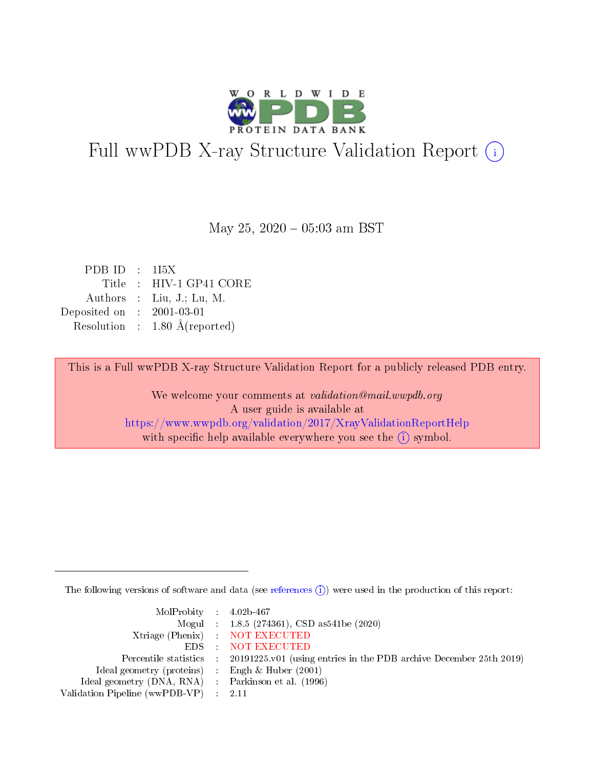

# Full wwPDB X-ray Structure Validation Report (i)

May 25,  $2020 - 05:03$  am BST

| PDBID : 1I5X |                                          |
|--------------|------------------------------------------|
|              | Title : HIV-1 GP41 CORE                  |
|              | Authors : Liu, J.; Lu, M.                |
| Deposited on | $\therefore$ 2001-03-01                  |
|              | Resolution : $1.80 \text{ Å}$ (reported) |

This is a Full wwPDB X-ray Structure Validation Report for a publicly released PDB entry.

We welcome your comments at validation@mail.wwpdb.org A user guide is available at <https://www.wwpdb.org/validation/2017/XrayValidationReportHelp> with specific help available everywhere you see the  $(i)$  symbol.

The following versions of software and data (see [references](https://www.wwpdb.org/validation/2017/XrayValidationReportHelp#references)  $(i)$ ) were used in the production of this report:

| MolProbity : 4.02b-467                                     |                                                                                            |
|------------------------------------------------------------|--------------------------------------------------------------------------------------------|
|                                                            | Mogul : $1.8.5$ (274361), CSD as 541be (2020)                                              |
|                                                            | Xtriage (Phenix) NOT EXECUTED                                                              |
|                                                            | EDS : NOT EXECUTED                                                                         |
|                                                            | Percentile statistics : 20191225.v01 (using entries in the PDB archive December 25th 2019) |
| Ideal geometry (proteins) $\therefore$ Engh & Huber (2001) |                                                                                            |
| Ideal geometry (DNA, RNA) : Parkinson et al. (1996)        |                                                                                            |
| Validation Pipeline (wwPDB-VP) : 2.11                      |                                                                                            |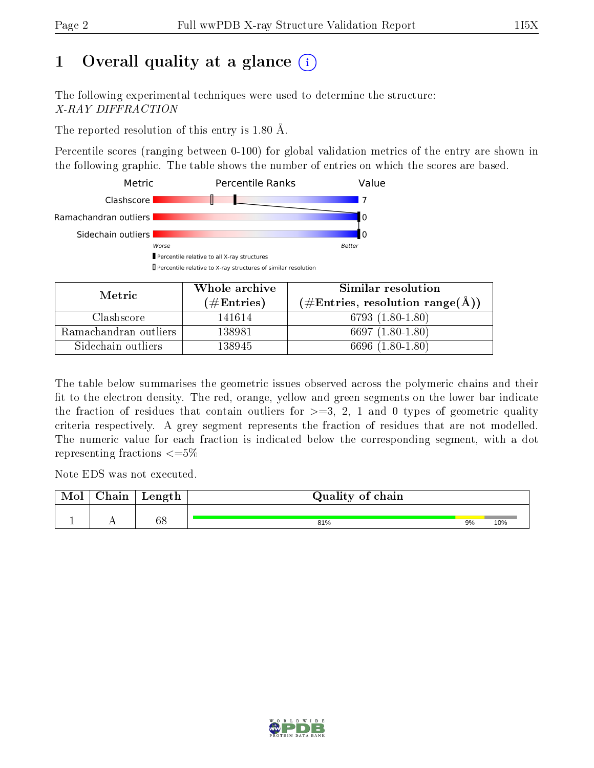# 1 [O](https://www.wwpdb.org/validation/2017/XrayValidationReportHelp#overall_quality)verall quality at a glance  $(i)$

The following experimental techniques were used to determine the structure: X-RAY DIFFRACTION

The reported resolution of this entry is 1.80 Å.

Percentile scores (ranging between 0-100) for global validation metrics of the entry are shown in the following graphic. The table shows the number of entries on which the scores are based.



| Metric                | Whole archive<br>$(\#\text{Entries})$ | Similar resolution<br>$(\#\text{Entries}, \text{resolution range}(\textup{\AA})\)$ |
|-----------------------|---------------------------------------|------------------------------------------------------------------------------------|
| Clashscore            | 141614                                | $6793(1.80-1.80)$                                                                  |
| Ramachandran outliers | 138981                                | $6697(1.80-1.80)$                                                                  |
| Sidechain outliers    | 138945                                | 6696 (1.80-1.80)                                                                   |

The table below summarises the geometric issues observed across the polymeric chains and their fit to the electron density. The red, orange, yellow and green segments on the lower bar indicate the fraction of residues that contain outliers for  $\geq=3$ , 2, 1 and 0 types of geometric quality criteria respectively. A grey segment represents the fraction of residues that are not modelled. The numeric value for each fraction is indicated below the corresponding segment, with a dot representing fractions  $\leq=5\%$ 

Note EDS was not executed.

| Mol | $\cap$ hain | Length | Quality of chain |    |     |
|-----|-------------|--------|------------------|----|-----|
|     |             | 68     | 81%              | 9% | 10% |

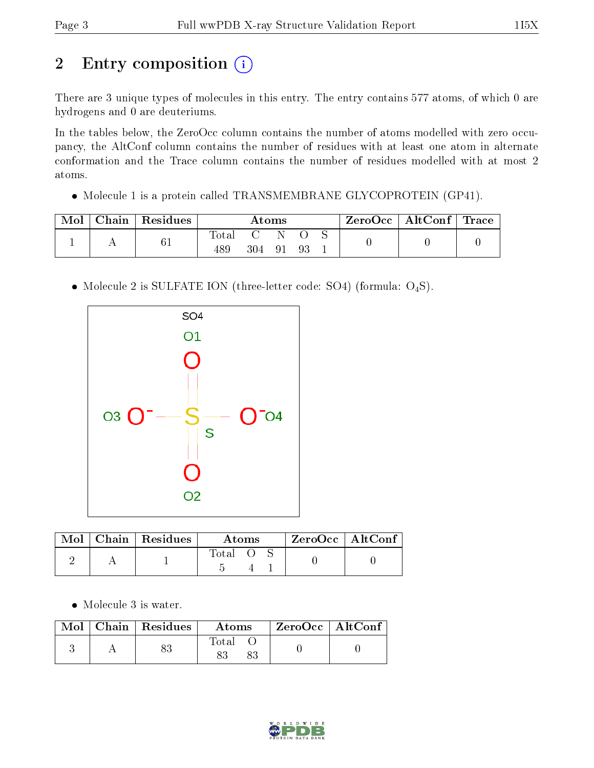# 2 Entry composition (i)

There are 3 unique types of molecules in this entry. The entry contains 577 atoms, of which 0 are hydrogens and 0 are deuteriums.

In the tables below, the ZeroOcc column contains the number of atoms modelled with zero occupancy, the AltConf column contains the number of residues with at least one atom in alternate conformation and the Trace column contains the number of residues modelled with at most 2 atoms.

Molecule 1 is a protein called TRANSMEMBRANE GLYCOPROTEIN (GP41).

| Mol | $\mid$ Chain $\mid$ Residues | Atoms          |     |      | ZeroOcc   AltConf   Trace |  |  |  |
|-----|------------------------------|----------------|-----|------|---------------------------|--|--|--|
|     | 61                           | $_{\rm Total}$ |     |      |                           |  |  |  |
|     |                              | 489            | 304 | - 91 | -93                       |  |  |  |

• Molecule 2 is SULFATE ION (three-letter code: SO4) (formula:  $O_4S$ ).



|  | Mol   Chain   Residues | Atoms   |  | $ZeroOcc$   AltConf |  |
|--|------------------------|---------|--|---------------------|--|
|  |                        | Total O |  |                     |  |

• Molecule 3 is water.

|  | $Mol$   Chain   Residues | Atoms | ZeroOcc   AltConf |  |
|--|--------------------------|-------|-------------------|--|
|  |                          | Total |                   |  |

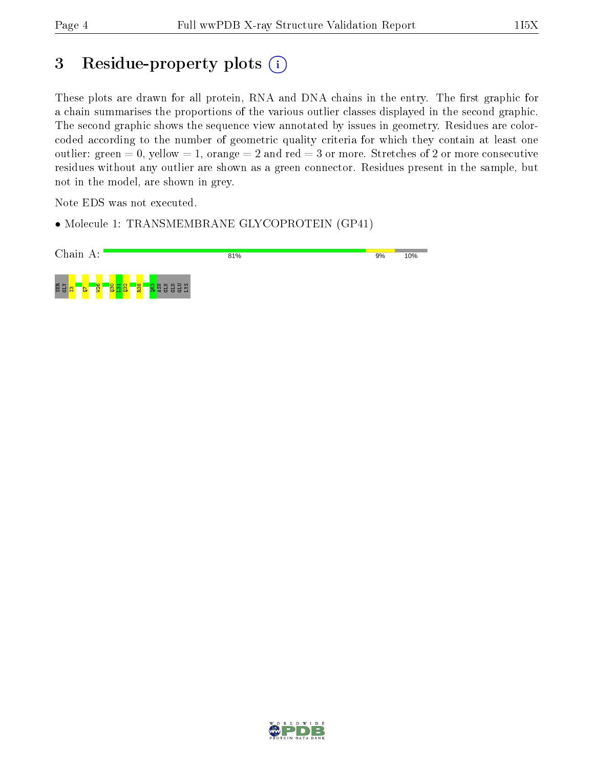## 3 Residue-property plots (i)

These plots are drawn for all protein, RNA and DNA chains in the entry. The first graphic for a chain summarises the proportions of the various outlier classes displayed in the second graphic. The second graphic shows the sequence view annotated by issues in geometry. Residues are colorcoded according to the number of geometric quality criteria for which they contain at least one outlier: green  $= 0$ , yellow  $= 1$ , orange  $= 2$  and red  $= 3$  or more. Stretches of 2 or more consecutive residues without any outlier are shown as a green connector. Residues present in the sample, but not in the model, are shown in grey.

Note EDS was not executed.

• Molecule 1: TRANSMEMBRANE GLYCOPROTEIN (GP41)



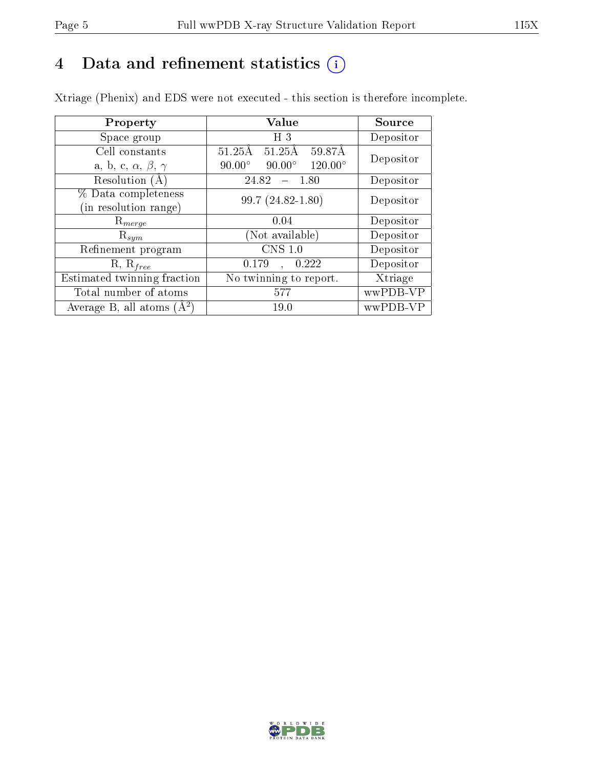# 4 Data and refinement statistics  $(i)$

Xtriage (Phenix) and EDS were not executed - this section is therefore incomplete.

| Property                               | Value                                              | Source    |
|----------------------------------------|----------------------------------------------------|-----------|
| Space group                            | H <sub>3</sub>                                     | Depositor |
| Cell constants                         | $51.25\text{\AA}$<br>$51.25\text{\AA}$<br>59.87Å   | Depositor |
| a, b, c, $\alpha$ , $\beta$ , $\gamma$ | $120.00^{\circ}$<br>$90.00^\circ$<br>$90.00^\circ$ |           |
| Resolution (A)                         | 24.82<br>- 1.80                                    | Depositor |
| % Data completeness                    | 99.7 (24.82-1.80)                                  | Depositor |
| (in resolution range)                  |                                                    |           |
| $\mathrm{R}_{merge}$                   | 0.04                                               | Depositor |
| $\mathrm{R}_{sym}$                     | (Not available)                                    | Depositor |
| Refinement program                     | $CNS$ 1.0                                          | Depositor |
| $R, R_{free}$                          | 0.222<br>0.179<br>$\mathbf{A}$                     | Depositor |
| Estimated twinning fraction            | No twinning to report.                             | Xtriage   |
| Total number of atoms                  | 577                                                | wwPDB-VP  |
| Average B, all atoms $(A^2)$           | 19.0                                               | wwPDB-VP  |

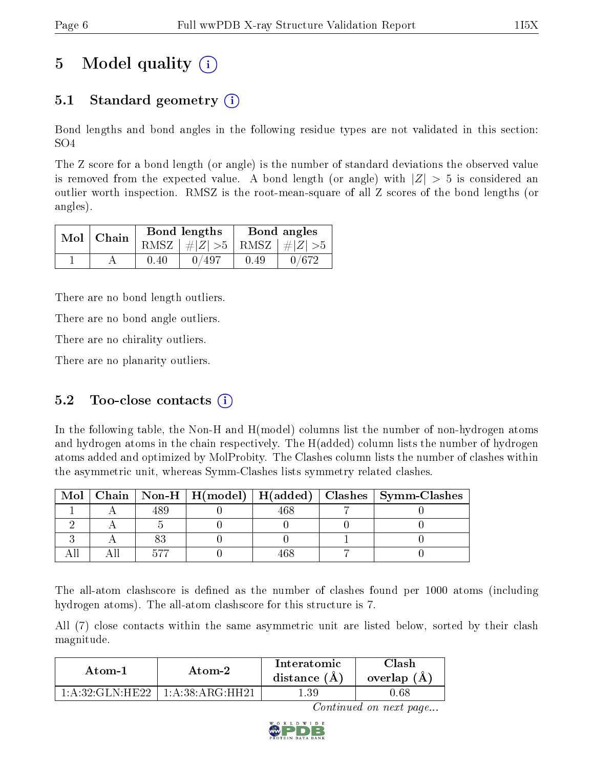# 5 Model quality  $(i)$

### 5.1 Standard geometry (i)

Bond lengths and bond angles in the following residue types are not validated in this section: SO4

The Z score for a bond length (or angle) is the number of standard deviations the observed value is removed from the expected value. A bond length (or angle) with  $|Z| > 5$  is considered an outlier worth inspection. RMSZ is the root-mean-square of all Z scores of the bond lengths (or angles).

| $Mol$   Chain |      | Bond lengths                    | Bond angles |       |  |
|---------------|------|---------------------------------|-------------|-------|--|
|               |      | RMSZ $ #Z  > 5$ RMSZ $ #Z  > 5$ |             |       |  |
|               | 0.40 | 0/497                           | 0.49        | 0/672 |  |

There are no bond length outliers.

There are no bond angle outliers.

There are no chirality outliers.

There are no planarity outliers.

### 5.2 Too-close contacts  $(i)$

In the following table, the Non-H and H(model) columns list the number of non-hydrogen atoms and hydrogen atoms in the chain respectively. The H(added) column lists the number of hydrogen atoms added and optimized by MolProbity. The Clashes column lists the number of clashes within the asymmetric unit, whereas Symm-Clashes lists symmetry related clashes.

| Mol |  |  | $\mid$ Chain $\mid$ Non-H $\mid$ H(model) $\mid$ H(added) $\mid$ Clashes $\mid$ Symm-Clashes |
|-----|--|--|----------------------------------------------------------------------------------------------|
|     |  |  |                                                                                              |
|     |  |  |                                                                                              |
|     |  |  |                                                                                              |
|     |  |  |                                                                                              |

The all-atom clashscore is defined as the number of clashes found per 1000 atoms (including hydrogen atoms). The all-atom clashscore for this structure is 7.

All (7) close contacts within the same asymmetric unit are listed below, sorted by their clash magnitude.

| Atom-1                                    | Atom-2                   | Interatomic<br>distance (A | 7lash<br>overlap $(A)$ |
|-------------------------------------------|--------------------------|----------------------------|------------------------|
| $1 \cdot A \cdot 32 \cdot GLN \cdot HE22$ | $\pm$ 1: A:38: ARG: HH21 | .39                        | $0.68\,$               |

Continued on next page...

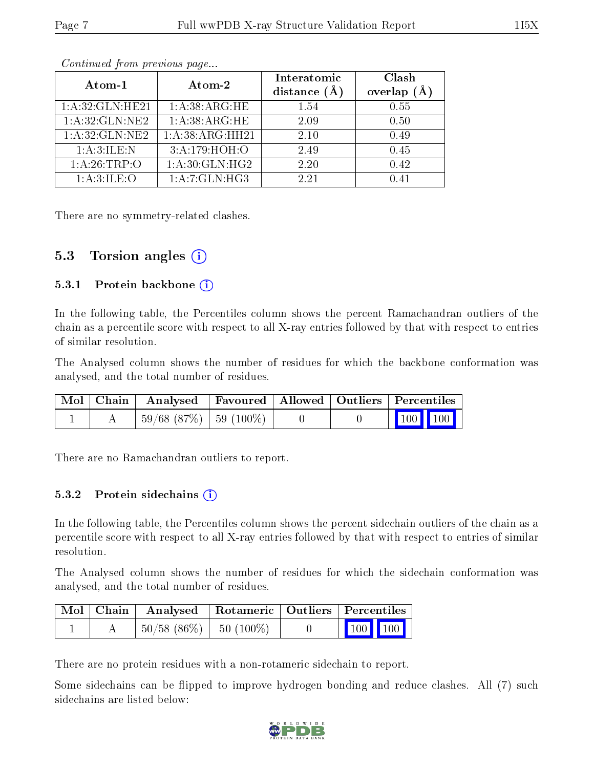| Atom-1           | Atom-2            | Interatomic<br>distance $(A)$ | Clash<br>overlap $(A)$ |  |
|------------------|-------------------|-------------------------------|------------------------|--|
| 1:A:32:GLN:HE21  | 1:A:38:ARG:HE     | 1.54                          | 0.55                   |  |
| 1:A:32:GLN:NE2   | 1:A:38:ARG:HE     | 2.09                          | 0.50                   |  |
| 1: A:32: GLN:NE2 | 1:A:38:ARG:HH21   | 2.10                          | 0.49                   |  |
| 1:A:3:ILE:N      | 3: A:179:HOH:O    | 2.49                          | 0.45                   |  |
| 1:A:26:TRP:O     | 1: A:30: GLN: HG2 | 2.20                          | 0.42                   |  |
| 1:A:3:ILE:O      | 1:A:7:GLN:HG3     | 2.21                          | 0.41                   |  |

Continued from previous page...

There are no symmetry-related clashes.

#### 5.3 Torsion angles  $(i)$

#### 5.3.1 Protein backbone  $(i)$

In the following table, the Percentiles column shows the percent Ramachandran outliers of the chain as a percentile score with respect to all X-ray entries followed by that with respect to entries of similar resolution.

The Analysed column shows the number of residues for which the backbone conformation was analysed, and the total number of residues.

|  | $\mid$ Mol $\mid$ Chain $\mid$ Analysed $\mid$ Favoured $\mid$ Allowed $\mid$ Outliers $\mid$ Percentiles $\mid$ |  |  |                                                              |
|--|------------------------------------------------------------------------------------------------------------------|--|--|--------------------------------------------------------------|
|  | $\mid$ 59/68 (87%) $\mid$ 59 (100%) $\mid$                                                                       |  |  | $\begin{array}{ c c c c c }\n\hline\n100 & 100\n\end{array}$ |

There are no Ramachandran outliers to report.

#### 5.3.2 Protein sidechains  $(i)$

In the following table, the Percentiles column shows the percent sidechain outliers of the chain as a percentile score with respect to all X-ray entries followed by that with respect to entries of similar resolution.

The Analysed column shows the number of residues for which the sidechain conformation was analysed, and the total number of residues.

|  | Mol   Chain   Analysed   Rotameric   Outliers   Percentiles |  |                                                                                                   |  |
|--|-------------------------------------------------------------|--|---------------------------------------------------------------------------------------------------|--|
|  | $\mid 50/58 \; (86\%) \mid 50 \; (100\%)$                   |  | $\begin{array}{ c c c c }\n\hline\n\end{array}$ $\begin{array}{ c c c }\n\hline\n\end{array}$ 100 |  |

There are no protein residues with a non-rotameric sidechain to report.

Some sidechains can be flipped to improve hydrogen bonding and reduce clashes. All (7) such sidechains are listed below:

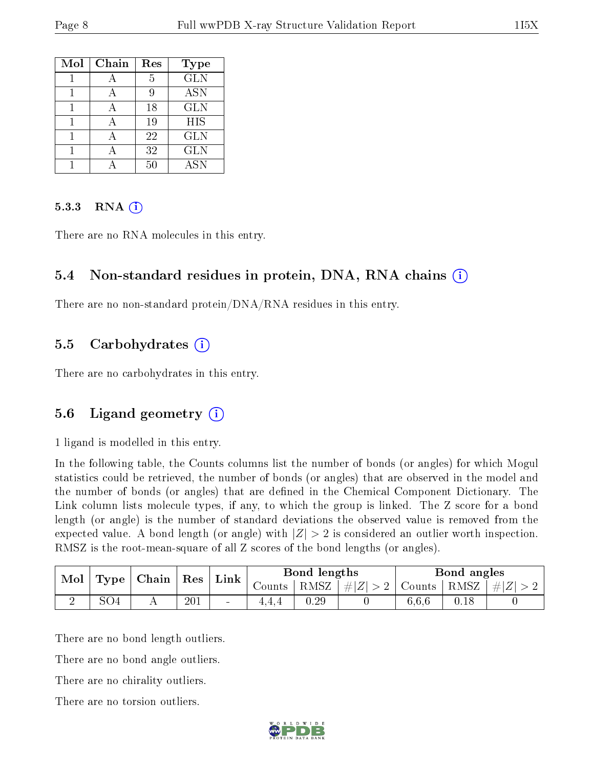| Mol | Chain | Res | Type       |
|-----|-------|-----|------------|
|     |       | 5   | <b>GLN</b> |
|     |       | Q   | <b>ASN</b> |
|     |       | 18  | <b>GLN</b> |
|     |       | 19  | <b>HIS</b> |
|     |       | 22  | <b>GLN</b> |
|     |       | 32  | <b>GLN</b> |
|     |       | 50  | ASN        |

#### 5.3.3 RNA (i)

There are no RNA molecules in this entry.

#### 5.4 Non-standard residues in protein, DNA, RNA chains (i)

There are no non-standard protein/DNA/RNA residues in this entry.

#### 5.5 Carbohydrates (i)

There are no carbohydrates in this entry.

### 5.6 Ligand geometry (i)

1 ligand is modelled in this entry.

In the following table, the Counts columns list the number of bonds (or angles) for which Mogul statistics could be retrieved, the number of bonds (or angles) that are observed in the model and the number of bonds (or angles) that are defined in the Chemical Component Dictionary. The Link column lists molecule types, if any, to which the group is linked. The Z score for a bond length (or angle) is the number of standard deviations the observed value is removed from the expected value. A bond length (or angle) with  $|Z| > 2$  is considered an outlier worth inspection. RMSZ is the root-mean-square of all Z scores of the bond lengths (or angles).

| Mol<br>Type | $\mid$ Chain $\mid$ Res |  | Link | Bond lengths             |        | Bond angles      |                                   |       |      |           |
|-------------|-------------------------|--|------|--------------------------|--------|------------------|-----------------------------------|-------|------|-----------|
|             |                         |  |      |                          | Counts | $'$ RMSZ $\perp$ | $\left  \#Z \right  > 2$   Counts |       | RMSZ | $\pm  Z $ |
|             | 5O4                     |  | 201  | $\overline{\phantom{a}}$ | 1.4.4  | 0.29             |                                   | 6.6.6 |      |           |

There are no bond length outliers.

There are no bond angle outliers.

There are no chirality outliers.

There are no torsion outliers.

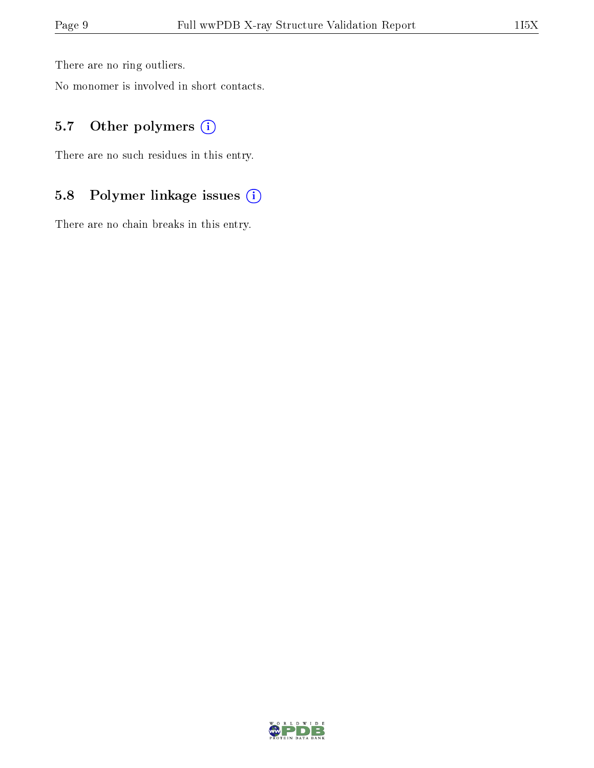There are no ring outliers.

No monomer is involved in short contacts.

### 5.7 [O](https://www.wwpdb.org/validation/2017/XrayValidationReportHelp#nonstandard_residues_and_ligands)ther polymers (i)

There are no such residues in this entry.

### 5.8 Polymer linkage issues (i)

There are no chain breaks in this entry.